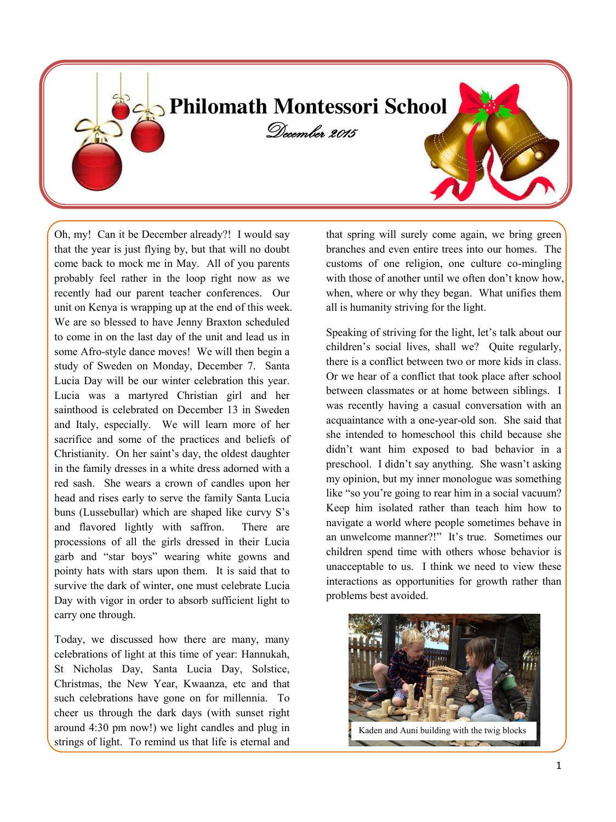

Oh, my! Can it be December already?! I would say that the year is just flying by, but that will no doubt come back to mock me in May. All of you parents probably feel rather in the loop right now as we recently had our parent teacher conferences. Our unit on Kenya is wrapping up at the end of this week. We are so blessed to have Jenny Braxton scheduled to come in on the last day of the unit and lead us in some Afro-style dance moves! We will then begin a study of Sweden on Monday, December 7. Santa Lucia Day will be our winter celebration this year. Lucia was a martyred Christian girl and her sainthood is celebrated on December 13 in Sweden and Italy, especially. We will learn more of her sacrifice and some of the practices and beliefs of Christianity. On her saint's day, the oldest daughter in the family dresses in a white dress adorned with a red sash. She wears a crown of candles upon her head and rises early to serve the family Santa Lucia buns (Lussebullar) which are shaped like curvy S's and flavored lightly with saffron. There are processions of all the girls dressed in their Lucia garb and "star boys" wearing white gowns and pointy hats with stars upon them. It is said that to survive the dark of winter, one must celebrate Lucia Day with vigor in order to absorb sufficient light to carry one through.

Today, we discussed how there are many, many celebrations of light at this time of year: Hannukah, St Nicholas Day, Santa Lucia Day, Solstice, Christmas, the New Year, Kwaanza, etc and that such celebrations have gone on for millennia. To cheer us through the dark days (with sunset right around 4:30 pm now!) we light candles and plug in strings of light. To remind us that life is eternal and that spring will surely come again, we bring green branches and even entire trees into our homes. The customs of one religion, one culture co-mingling with those of another until we often don't know how, when, where or why they began. What unifies them all is humanity striving for the light.

Speaking of striving for the light, let's talk about our children's social lives, shall we? Quite regularly, there is a conflict between two or more kids in class. Or we hear of a conflict that took place after school between classmates or at home between siblings. I was recently having a casual conversation with an acquaintance with a one-year-old son. She said that she intended to homeschool this child because she didn't want him exposed to bad behavior in a preschool. I didn't say anything. She wasn't asking my opinion, but my inner monologue was something like "so you're going to rear him in a social vacuum? Keep him isolated rather than teach him how to navigate a world where people sometimes behave in an unwelcome manner?!" It's true. Sometimes our children spend time with others whose behavior is unacceptable to us. I think we need to view these interactions as opportunities for growth rather than problems best avoided.

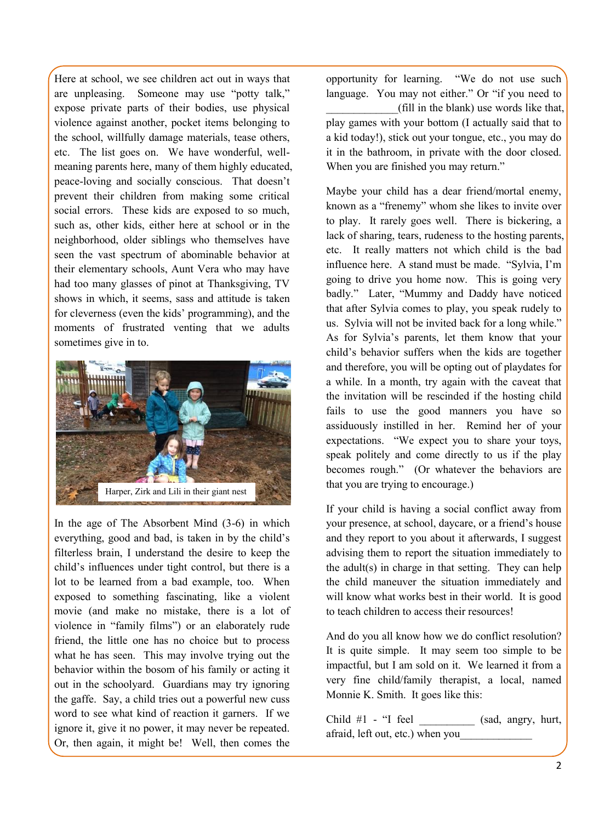Here at school, we see children act out in ways that are unpleasing. Someone may use "potty talk," expose private parts of their bodies, use physical violence against another, pocket items belonging to the school, willfully damage materials, tease others, etc. The list goes on. We have wonderful, wellmeaning parents here, many of them highly educated, peace-loving and socially conscious. That doesn't prevent their children from making some critical social errors. These kids are exposed to so much, such as, other kids, either here at school or in the neighborhood, older siblings who themselves have seen the vast spectrum of abominable behavior at their elementary schools, Aunt Vera who may have had too many glasses of pinot at Thanksgiving, TV shows in which, it seems, sass and attitude is taken for cleverness (even the kids' programming), and the moments of frustrated venting that we adults sometimes give in to.



In the age of The Absorbent Mind (3-6) in which everything, good and bad, is taken in by the child's filterless brain, I understand the desire to keep the child's influences under tight control, but there is a lot to be learned from a bad example, too. When exposed to something fascinating, like a violent movie (and make no mistake, there is a lot of violence in "family films") or an elaborately rude friend, the little one has no choice but to process what he has seen. This may involve trying out the behavior within the bosom of his family or acting it out in the schoolyard. Guardians may try ignoring the gaffe. Say, a child tries out a powerful new cuss word to see what kind of reaction it garners. If we ignore it, give it no power, it may never be repeated. Or, then again, it might be! Well, then comes the

opportunity for learning. "We do not use such language. You may not either." Or "if you need to \_\_\_\_\_\_\_\_\_\_\_\_\_(fill in the blank) use words like that, play games with your bottom (I actually said that to a kid today!), stick out your tongue, etc., you may do it in the bathroom, in private with the door closed. When you are finished you may return."

Maybe your child has a dear friend/mortal enemy, known as a "frenemy" whom she likes to invite over to play. It rarely goes well. There is bickering, a lack of sharing, tears, rudeness to the hosting parents, etc. It really matters not which child is the bad influence here. A stand must be made. "Sylvia, I'm going to drive you home now. This is going very badly." Later, "Mummy and Daddy have noticed that after Sylvia comes to play, you speak rudely to us. Sylvia will not be invited back for a long while." As for Sylvia's parents, let them know that your child's behavior suffers when the kids are together and therefore, you will be opting out of playdates for a while. In a month, try again with the caveat that the invitation will be rescinded if the hosting child fails to use the good manners you have so assiduously instilled in her. Remind her of your expectations. "We expect you to share your toys, speak politely and come directly to us if the play becomes rough." (Or whatever the behaviors are that you are trying to encourage.)

If your child is having a social conflict away from your presence, at school, daycare, or a friend's house and they report to you about it afterwards, I suggest advising them to report the situation immediately to the adult(s) in charge in that setting. They can help the child maneuver the situation immediately and will know what works best in their world. It is good to teach children to access their resources!

And do you all know how we do conflict resolution? It is quite simple. It may seem too simple to be impactful, but I am sold on it. We learned it from a very fine child/family therapist, a local, named Monnie K. Smith. It goes like this:

Child  $#1$  - "I feel  $(sad, angry, hurt,$ afraid, left out, etc.) when you\_\_\_\_\_\_\_\_\_\_\_\_\_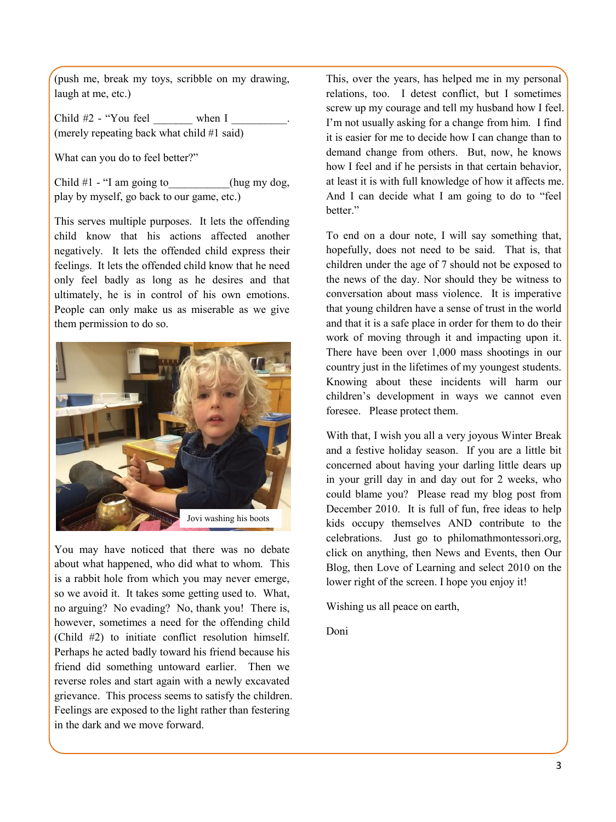(push me, break my toys, scribble on my drawing, laugh at me, etc.)

Child  $#2$  - "You feel when I (merely repeating back what child #1 said)

What can you do to feel better?"

Child  $#1 - "I$  am going to (hug my dog, play by myself, go back to our game, etc.)

This serves multiple purposes. It lets the offending child know that his actions affected another negatively. It lets the offended child express their feelings. It lets the offended child know that he need only feel badly as long as he desires and that ultimately, he is in control of his own emotions. People can only make us as miserable as we give them permission to do so.



You may have noticed that there was no debate about what happened, who did what to whom. This is a rabbit hole from which you may never emerge, so we avoid it. It takes some getting used to. What, no arguing? No evading? No, thank you! There is, however, sometimes a need for the offending child (Child #2) to initiate conflict resolution himself. Perhaps he acted badly toward his friend because his friend did something untoward earlier. Then we reverse roles and start again with a newly excavated grievance. This process seems to satisfy the children. Feelings are exposed to the light rather than festering in the dark and we move forward.

This, over the years, has helped me in my personal relations, too. I detest conflict, but I sometimes screw up my courage and tell my husband how I feel. I'm not usually asking for a change from him. I find it is easier for me to decide how I can change than to demand change from others. But, now, he knows how I feel and if he persists in that certain behavior, at least it is with full knowledge of how it affects me. And I can decide what I am going to do to "feel better."

To end on a dour note, I will say something that, hopefully, does not need to be said. That is, that children under the age of 7 should not be exposed to the news of the day. Nor should they be witness to conversation about mass violence. It is imperative that young children have a sense of trust in the world and that it is a safe place in order for them to do their work of moving through it and impacting upon it. There have been over 1,000 mass shootings in our country just in the lifetimes of my youngest students. Knowing about these incidents will harm our children's development in ways we cannot even foresee. Please protect them.

With that, I wish you all a very joyous Winter Break and a festive holiday season. If you are a little bit concerned about having your darling little dears up in your grill day in and day out for 2 weeks, who could blame you? Please read my blog post from December 2010. It is full of fun, free ideas to help kids occupy themselves AND contribute to the celebrations. Just go to philomathmontessori.org, click on anything, then News and Events, then Our Blog, then Love of Learning and select 2010 on the lower right of the screen. I hope you enjoy it!

Wishing us all peace on earth,

Doni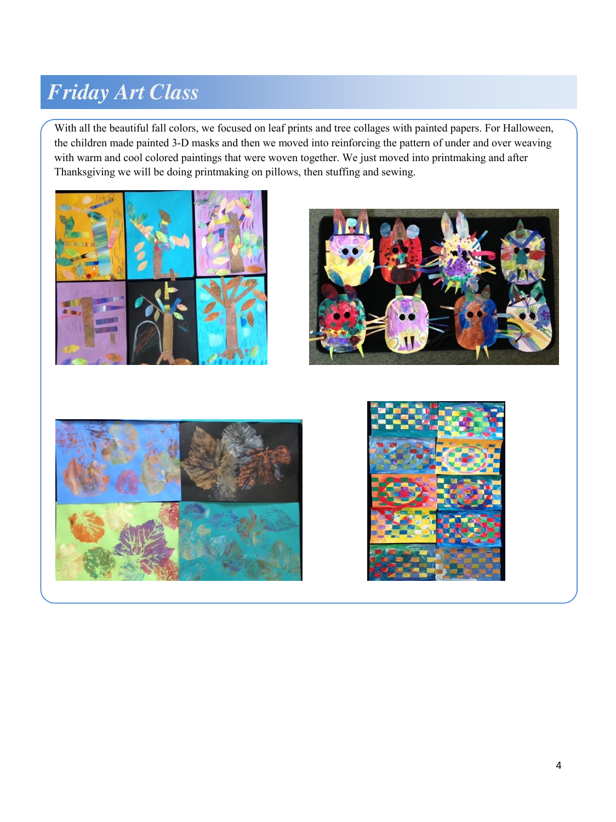## *Friday Art Class*

With all the beautiful fall colors, we focused on leaf prints and tree collages with painted papers. For Halloween, the children made painted 3-D masks and then we moved into reinforcing the pattern of under and over weaving with warm and cool colored paintings that were woven together. We just moved into printmaking and after Thanksgiving we will be doing printmaking on pillows, then stuffing and sewing.







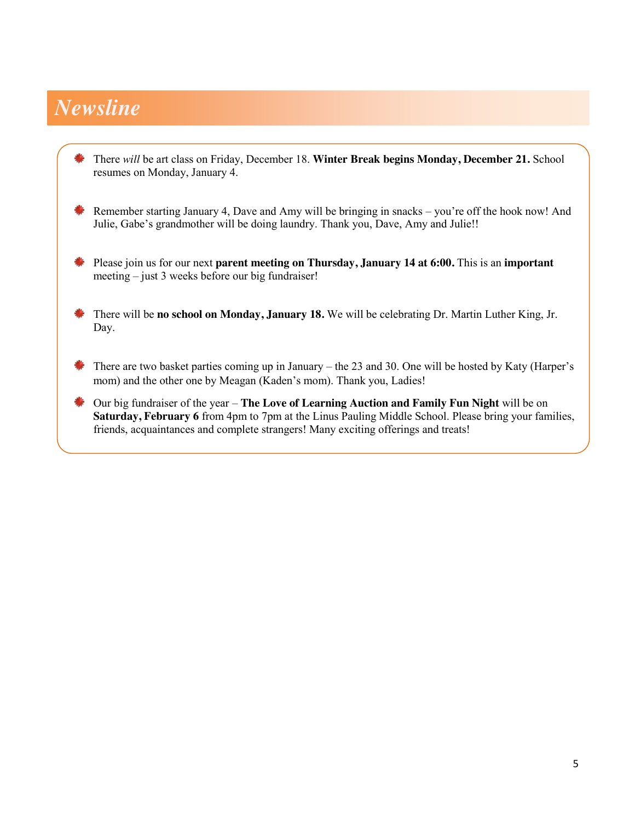## *Newsline*

- There *will* be art class on Friday, December 18. **Winter Break begins Monday, December 21.** School resumes on Monday, January 4.
- Remember starting January 4, Dave and Amy will be bringing in snacks you're off the hook now! And Julie, Gabe's grandmother will be doing laundry. Thank you, Dave, Amy and Julie!!
- Please join us for our next **parent meeting on Thursday, January 14 at 6:00.** This is an **important** meeting – just 3 weeks before our big fundraiser!
- There will be **no school on Monday, January 18.** We will be celebrating Dr. Martin Luther King, Jr. a, Day.
- **There are two basket parties coming up in January** the 23 and 30. One will be hosted by Katy (Harper's mom) and the other one by Meagan (Kaden's mom). Thank you, Ladies!
- Our big fundraiser of the year **The Love of Learning Auction and Family Fun Night** will be on **Saturday, February 6** from 4pm to 7pm at the Linus Pauling Middle School. Please bring your families, friends, acquaintances and complete strangers! Many exciting offerings and treats!